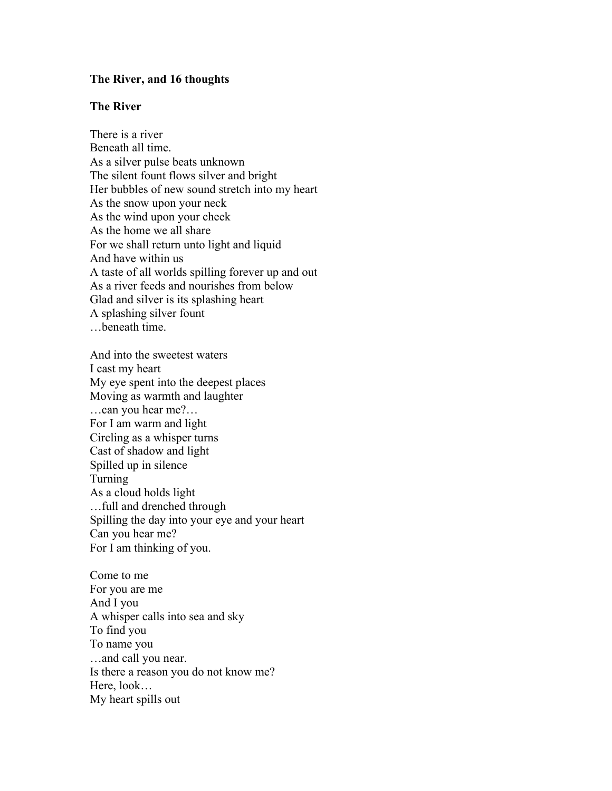## **The River, and 16 thoughts**

## **The River**

There is a river Beneath all time. As a silver pulse beats unknown The silent fount flows silver and bright Her bubbles of new sound stretch into my heart As the snow upon your neck As the wind upon your cheek As the home we all share For we shall return unto light and liquid And have within us A taste of all worlds spilling forever up and out As a river feeds and nourishes from below Glad and silver is its splashing heart A splashing silver fount …beneath time.

And into the sweetest waters I cast my heart My eye spent into the deepest places Moving as warmth and laughter …can you hear me?… For I am warm and light Circling as a whisper turns Cast of shadow and light Spilled up in silence Turning As a cloud holds light …full and drenched through Spilling the day into your eye and your heart Can you hear me? For I am thinking of you.

Come to me For you are me And I you A whisper calls into sea and sky To find you To name you …and call you near. Is there a reason you do not know me? Here, look… My heart spills out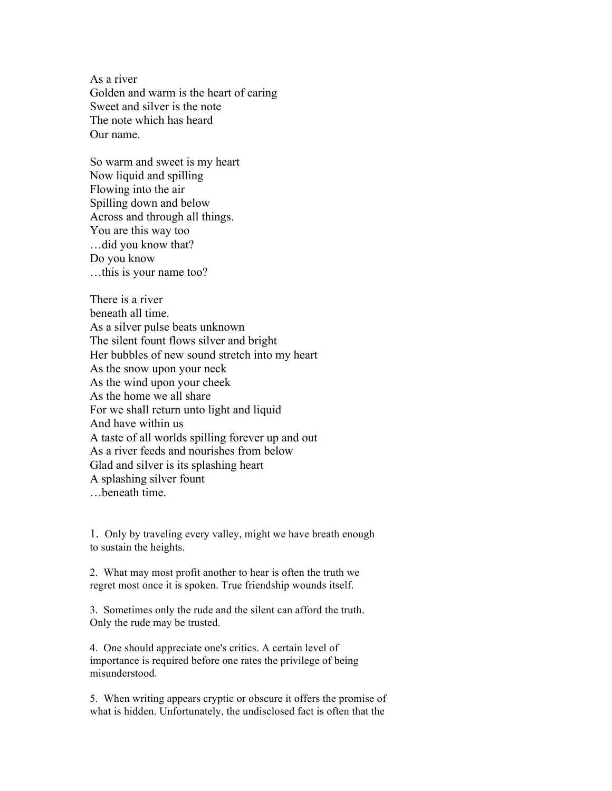As a river Golden and warm is the heart of caring Sweet and silver is the note The note which has heard Our name.

So warm and sweet is my heart Now liquid and spilling Flowing into the air Spilling down and below Across and through all things. You are this way too …did you know that? Do you know …this is your name too?

There is a river beneath all time. As a silver pulse beats unknown The silent fount flows silver and bright Her bubbles of new sound stretch into my heart As the snow upon your neck As the wind upon your cheek As the home we all share For we shall return unto light and liquid And have within us A taste of all worlds spilling forever up and out As a river feeds and nourishes from below Glad and silver is its splashing heart A splashing silver fount …beneath time.

1. Only by traveling every valley, might we have breath enough to sustain the heights.

2. What may most profit another to hear is often the truth we regret most once it is spoken. True friendship wounds itself.

3. Sometimes only the rude and the silent can afford the truth. Only the rude may be trusted.

4. One should appreciate one's critics. A certain level of importance is required before one rates the privilege of being misunderstood.

5. When writing appears cryptic or obscure it offers the promise of what is hidden. Unfortunately, the undisclosed fact is often that the